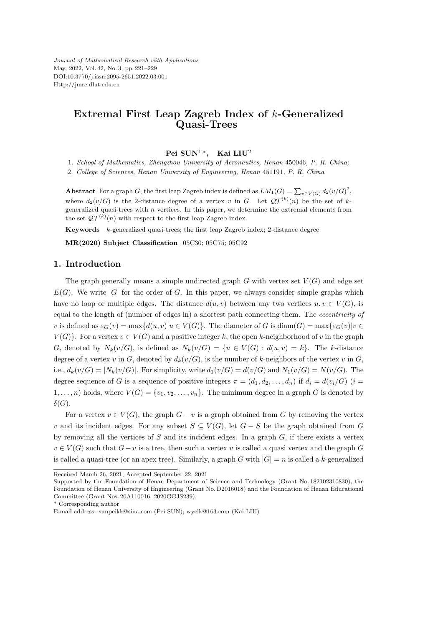*Journal of Mathematical Research with Applications* May, 2022, Vol. 42, No. 3, pp. 221–229 DOI:10.3770/j.issn:2095-2651.2022.03.001 Http://jmre.dlut.edu.cn

# **Extremal First Leap Zagreb Index of** *k***-Generalized Quasi-Trees**

### $\mathbf{Pei} \text{ } \textbf{SUN}^{1, *}, \quad \textbf{Kai} \text{ } \textbf{LIU}^{2}$

1*. School of Mathematics, Zhengzhou University of Aeronautics, Henan* 450046*, P. R. China;*

2*. College of Sciences, Henan University of Engineering, Henan* 451191*, P. R. China*

Abstract For a graph *G*, the first leap Zagreb index is defined as  $LM_1(G) = \sum_{v \in V(G)} d_2(v/G)^2$ , where  $d_2(v/G)$  is the 2-distance degree of a vertex *v* in *G*. Let  $\mathcal{QT}^{(k)}(n)$  be the set of *k*generalized quasi-trees with *n* vertices. In this paper, we determine the extremal elements from the set  $\mathcal{QT}^{(k)}(n)$  with respect to the first leap Zagreb index.

**Keywords** *k*-generalized quasi-trees; the first leap Zagreb index; 2-distance degree

**MR(2020) Subject Classification** 05C30; 05C75; 05C92

#### **1. Introduction**

The graph generally means a simple undirected graph  $G$  with vertex set  $V(G)$  and edge set  $E(G)$ . We write  $|G|$  for the order of *G*. In this paper, we always consider simple graphs which have no loop or multiple edges. The distance  $d(u, v)$  between any two vertices  $u, v \in V(G)$ , is equal to the length of (number of edges in) a shortest path connecting them. The *eccentricity of* v is defined as  $\varepsilon_G(v) = \max\{d(u,v)|u \in V(G)\}\$ . The diameter of G is  $\text{diam}(G) = \max\{\varepsilon_G(v)|v \in G\}$  $V(G)$ }. For a vertex  $v \in V(G)$  and a positive integer k, the open k-neighborhood of v in the graph *G*, denoted by  $N_k(v/G)$ , is defined as  $N_k(v/G) = \{u \in V(G) : d(u,v) = k\}$ . The *k*-distance degree of a vertex *v* in *G*, denoted by  $d_k(v/G)$ , is the number of *k*-neighbors of the vertex *v* in *G*, i.e.,  $d_k(v/G) = |N_k(v/G)|$ . For simplicity, write  $d_1(v/G) = d(v/G)$  and  $N_1(v/G) = N(v/G)$ . The degree sequence of *G* is a sequence of positive integers  $\pi = (d_1, d_2, \ldots, d_n)$  if  $d_i = d(v_i/G)$  (*i* = 1,...,*n*) holds, where  $V(G) = \{v_1, v_2, \ldots, v_n\}$ . The minimum degree in a graph *G* is denoted by *δ*(*G*).

For a vertex  $v \in V(G)$ , the graph  $G - v$  is a graph obtained from G by removing the vertex *v* and its incident edges. For any subset  $S ⊆ V(G)$ , let  $G − S$  be the graph obtained from  $G$ by removing all the vertices of *S* and its incident edges. In a graph *G*, if there exists a vertex  $v \in V(G)$  such that  $G - v$  is a tree, then such a vertex *v* is called a quasi vertex and the graph *G* is called a quasi-tree (or an apex tree). Similarly, a graph *G* with  $|G| = n$  is called a *k*-generalized

Received March 26, 2021; Accepted September 22, 2021

Supported by the Foundation of Henan Department of Science and Technology (Grant No. 182102310830), the Foundation of Henan University of Engineering (Grant No. D2016018) and the Foundation of Henan Educational Committee (Grant Nos. 20A110016; 2020GGJS239).

<sup>\*</sup> Corresponding author

E-mail address: sunpeikk@sina.com (Pei SUN); wyclk@163.com (Kai LIU)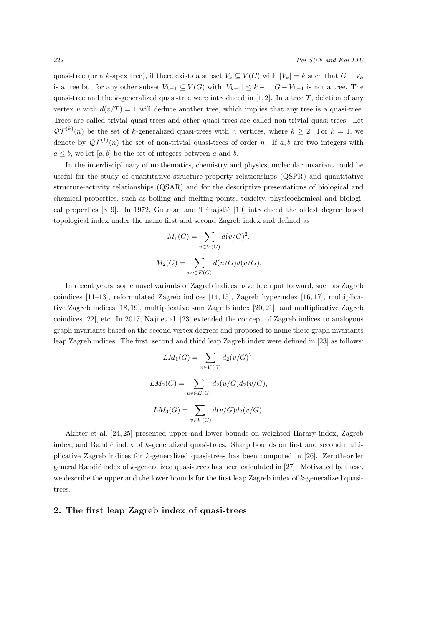quasi-tree (or a *k*-apex tree), if there exists a subset  $V_k \subseteq V(G)$  with  $|V_k| = k$  such that  $G - V_k$ is a tree but for any other subset  $V_{k-1} \subseteq V(G)$  with  $|V_{k-1}| \leq k-1$ ,  $G - V_{k-1}$  is not a tree. The quasi-tree and the  $k$ -generalized quasi-tree were introduced in  $[1, 2]$ . In a tree  $T$ , deletion of any vertex *v* with  $d(v/T) = 1$  will deduce another tree, which implies that any tree is a quasi-tree. Trees are called trivial quasi-trees and other quasi-trees are called non-trivial quasi-trees. Let  $Q\mathcal{T}^{(k)}(n)$  be the set of *k*-generalized quasi-trees with *n* vertices, where  $k \geq 2$ . For  $k = 1$ , we denote by  $\mathcal{QT}^{(1)}(n)$  the set of non-trivial quasi-trees of order *n*. If *a, b* are two integers with  $a \leq b$ , we let [*a*, *b*] be the set of integers between *a* and *b*.

In the interdisciplinary of mathematics, chemistry and physics, molecular invariant could be useful for the study of quantitative structure-property relationships (QSPR) and quantitative structure-activity relationships (QSAR) and for the descriptive presentations of biological and chemical properties, such as boiling and melting points, toxicity, physicochemical and biological properties  $[3-9]$ . In 1972, Gutman and Trinajstic  $[10]$  introduced the oldest degree based topological index under the name first and second Zagreb index and defined as

$$
M_1(G) = \sum_{v \in V(G)} d(v/G)^2,
$$
  

$$
M_2(G) = \sum_{uv \in E(G)} d(u/G)d(v/G).
$$

In recent years, some novel variants of Zagreb indices have been put forward, such as Zagreb coindices [11–13], reformulated Zagreb indices [14, 15], Zagreb hyperindex [16, 17], multiplicative Zagreb indices [18, 19], multiplicative sum Zagreb index [20, 21], and multiplicative Zagreb coindices [22], etc. In 2017, Naji et al. [23] extended the concept of Zagreb indices to analogous graph invariants based on the second vertex degrees and proposed to name these graph invariants leap Zagreb indices. The first, second and third leap Zagreb index were defined in [23] as follows:

$$
LM_1(G) = \sum_{v \in V(G)} d_2(v/G)^2,
$$
  
\n
$$
LM_2(G) = \sum_{uv \in E(G)} d_2(u/G) d_2(v/G),
$$
  
\n
$$
LM_3(G) = \sum_{v \in V(G)} d(v/G) d_2(v/G).
$$

Akhter et al. [24, 25] presented upper and lower bounds on weighted Harary index, Zagreb index, and Randić index of *k*-generalized quasi-trees. Sharp bounds on first and second multiplicative Zagreb indices for *k*-generalized quasi-trees has been computed in [26]. Zeroth-order general Randi´*c* index of *k*-generalized quasi-trees has been calculated in [27]. Motivated by these, we describe the upper and the lower bounds for the first leap Zagreb index of *k*-generalized quasitrees.

#### **2. The first leap Zagreb index of quasi-trees**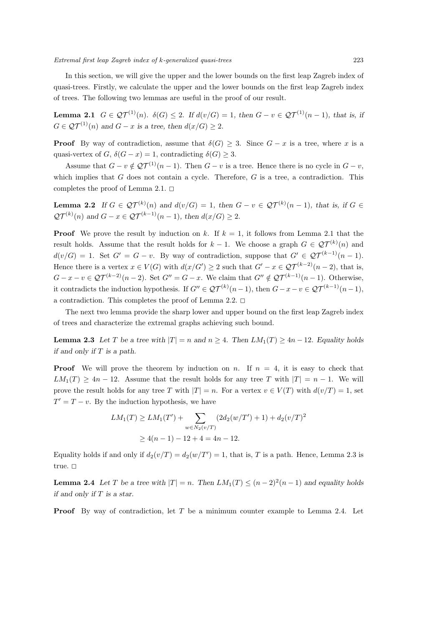*Extremal first leap Zagreb index of k-generalized quasi-trees* 223

In this section, we will give the upper and the lower bounds on the first leap Zagreb index of quasi-trees. Firstly, we calculate the upper and the lower bounds on the first leap Zagreb index of trees. The following two lemmas are useful in the proof of our result.

**Lemma 2.1**  $G \in \mathcal{QT}^{(1)}(n)$ *.*  $\delta(G) \leq 2$ *.* If  $d(v/G) = 1$ *, then*  $G - v \in \mathcal{QT}^{(1)}(n-1)$ *, that is, if*  $G \in \mathcal{QT}^{(1)}(n)$  and  $G - x$  is a tree, then  $d(x/G) \geq 2$ .

**Proof** By way of contradiction, assume that  $\delta(G) \geq 3$ . Since  $G - x$  is a tree, where *x* is a quasi-vertex of *G*,  $\delta(G - x) = 1$ , contradicting  $\delta(G) \geq 3$ .

Assume that  $G - v \notin \mathcal{QT}^{(1)}(n-1)$ . Then  $G - v$  is a tree. Hence there is no cycle in  $G - v$ , which implies that *G* does not contain a cycle. Therefore, *G* is a tree, a contradiction. This completes the proof of Lemma 2.1.  $\square$ 

**Lemma 2.2** If  $G \in \mathcal{QT}^{(k)}(n)$  and  $d(v/G) = 1$ , then  $G - v \in \mathcal{QT}^{(k)}(n-1)$ , that is, if  $G \in$  $Q\mathcal{T}^{(k)}(n)$  and  $G - x \in \mathcal{Q}\mathcal{T}^{(k-1)}(n-1)$ , then  $d(x/G) \geq 2$ .

**Proof** We prove the result by induction on k. If  $k = 1$ , it follows from Lemma 2.1 that the result holds. Assume that the result holds for  $k-1$ . We choose a graph  $G \in \mathcal{QT}^{(k)}(n)$  and  $d(v/G) = 1$ . Set  $G' = G - v$ . By way of contradiction, suppose that  $G' \in \mathcal{QT}^{(k-1)}(n-1)$ . Hence there is a vertex  $x \in V(G)$  with  $d(x/G') \geq 2$  such that  $G' - x \in \mathcal{QT}^{(k-2)}(n-2)$ , that is,  $G-x-v\in\mathcal{QT}^{(k-2)}(n-2)$ . Set  $G''=G-x$ . We claim that  $G''\notin\mathcal{QT}^{(k-1)}(n-1)$ . Otherwise, it contradicts the induction hypothesis. If  $G'' \in \mathcal{QT}^{(k)}(n-1)$ , then  $G - x - v \in \mathcal{QT}^{(k-1)}(n-1)$ , a contradiction. This completes the proof of Lemma 2.2.  $\Box$ 

The next two lemma provide the sharp lower and upper bound on the first leap Zagreb index of trees and characterize the extremal graphs achieving such bound.

**Lemma 2.3** *Let T be a tree with*  $|T| = n$  *and*  $n > 4$ *. Then*  $LM_1(T) > 4n - 12$ *. Equality holds if and only if T is a path.*

**Proof** We will prove the theorem by induction on *n*. If  $n = 4$ , it is easy to check that *LM*<sub>1</sub>(*T*) *>* 4*n* − 12. Assume that the result holds for any tree *T* with  $|T| = n - 1$ . We will prove the result holds for any tree *T* with  $|T| = n$ . For a vertex  $v \in V(T)$  with  $d(v/T) = 1$ , set  $T' = T - v$ . By the induction hypothesis, we have

$$
LM_1(T) \ge LM_1(T') + \sum_{w \in N_2(v/T)} (2d_2(w/T') + 1) + d_2(v/T)^2
$$
  
\n
$$
\ge 4(n - 1) - 12 + 4 = 4n - 12.
$$

Equality holds if and only if  $d_2(v/T) = d_2(w/T') = 1$ , that is, T is a path. Hence, Lemma 2.3 is true.  $\square$ 

**Lemma 2.4** *Let T be a tree with*  $|T| = n$ *. Then*  $LM_1(T) \leq (n-2)^2(n-1)$  *and equality holds if and only if T is a star.*

**Proof** By way of contradiction, let *T* be a minimum counter example to Lemma 2.4. Let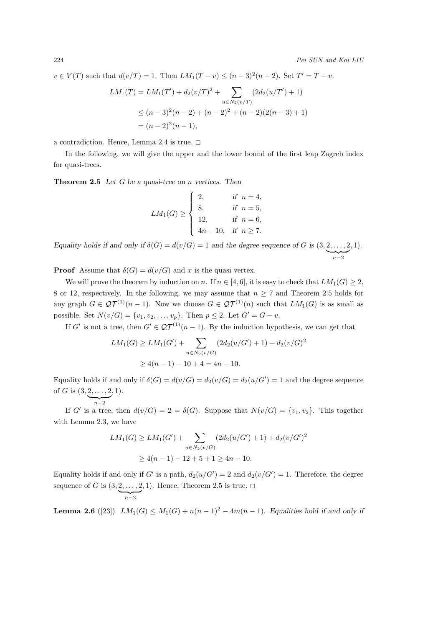224 *Pei SUN and Kai LIU*

 $v \in V(T)$  such that  $d(v/T) = 1$ . Then  $LM_1(T - v) \leq (n-3)^2(n-2)$ . Set  $T' = T - v$ .  $LM_1(T) = LM_1(T') + d_2(v/T)^2 + \sum$ *u∈N*2(*v/T*)  $(2d_2(u/T')+1)$  $\leq (n-3)^2(n-2) + (n-2)^2 + (n-2)(2(n-3)+1)$  $=(n-2)^2(n-1)$ ,

a contradiction. Hence, Lemma 2.4 is true.  $\Box$ 

In the following, we will give the upper and the lower bound of the first leap Zagreb index for quasi-trees.

**Theorem 2.5** *Let G be a quasi-tree on n vertices. Then*

$$
LM_1(G) \ge \begin{cases} 2, & \text{if } n = 4, \\ 8, & \text{if } n = 5, \\ 12, & \text{if } n = 6, \\ 4n - 10, & \text{if } n \ge 7. \end{cases}
$$

*Equality holds if and only if*  $\delta(G) = d(v/G) = 1$  *and the degree sequence of G* is  $(3, 2, \ldots, 2)$ | {z } *n−*2 *,* 1)*.*

**Proof** Assume that  $\delta(G) = d(v/G)$  and *x* is the quasi vertex.

We will prove the theorem by induction on *n*. If  $n \in [4, 6]$ , it is easy to check that  $LM_1(G) \geq 2$ . 8 or 12, respectively. In the following, we may assume that  $n \geq 7$  and Theorem 2.5 holds for any graph  $G \in \mathcal{QT}^{(1)}(n-1)$ . Now we choose  $G \in \mathcal{QT}^{(1)}(n)$  such that  $LM_1(G)$  is as small as possible. Set  $N(v/G) = \{v_1, v_2, \ldots, v_p\}$ . Then  $p \leq 2$ . Let  $G' = G - v$ .

If *G'* is not a tree, then  $G' \in \mathcal{QT}^{(1)}(n-1)$ . By the induction hypothesis, we can get that

$$
LM_1(G) \ge LM_1(G') + \sum_{u \in N_2(v/G)} (2d_2(u/G') + 1) + d_2(v/G)^2
$$
  
 
$$
\ge 4(n - 1) - 10 + 4 = 4n - 10.
$$

Equality holds if and only if  $\delta(G) = d(v/G) = d_2(v/G) = d_2(u/G') = 1$  and the degree sequence of *G* is (3*,* 2*, . . . ,* 2 *,* 1).

If G' is a tree, then 
$$
d(v/G) = 2 = \delta(G)
$$
. Suppose that  $N(v/G) = \{v_1, v_2\}$ . This together with Lemma 2.3, we have

$$
LM_1(G) \ge LM_1(G') + \sum_{u \in N_2(v/G)} (2d_2(u/G') + 1) + d_2(v/G')^2
$$
  
 
$$
\ge 4(n - 1) - 12 + 5 + 1 \ge 4n - 10.
$$

Equality holds if and only if *G'* is a path,  $d_2(u/G') = 2$  and  $d_2(v/G') = 1$ . Therefore, the degree sequence of *G* is (3*,* 2*, . . . ,* 2 | {z } *n−*2  $, 1$ ). Hence, Theorem 2.5 is true.  $\Box$ 

**Lemma 2.6** ([23]) *LM*<sub>1</sub>(*G*)  $\leq M_1(G) + n(n-1)^2 - 4m(n-1)$ *. Equalities hold if and only if*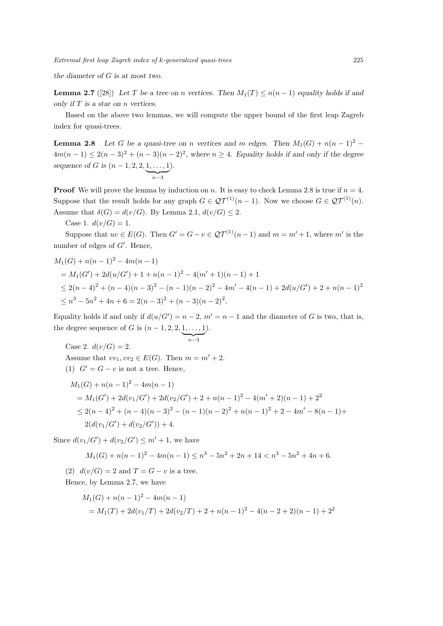*the diameter of G is at most two.*

**Lemma 2.7** ([28]) Let *T* be a tree on *n* vertices. Then  $M_1(T) \leq n(n-1)$  equality holds if and *only if T is a star on n vertices.*

Based on the above two lemmas, we will compute the upper bound of the first leap Zagreb index for quasi-trees.

**Lemma 2.8** *Let G be a quasi-tree on <i>n* vertices and *m* edges. Then  $M_1(G) + n(n-1)^2$  $4m(n-1) ≤ 2(n-3)<sup>2</sup> + (n-3)(n-2)<sup>2</sup>$ , where  $n ≥ 4$ . Equality holds if and only if the degree *sequence of G is*  $(n-1, 2, 2, 1, \ldots, 1)$ | {z } *n−*3 )*.*

**Proof** We will prove the lemma by induction on *n*. It is easy to check Lemma 2.8 is true if  $n = 4$ . Suppose that the result holds for any graph  $G \in \mathcal{QT}^{(1)}(n-1)$ . Now we choose  $G \in \mathcal{QT}^{(1)}(n)$ . Assume that  $\delta(G) = d(v/G)$ . By Lemma 2.1,  $d(v/G) \leq 2$ .

Case 1.  $d(v/G) = 1$ .

Suppose that  $uv \in E(G)$ . Then  $G' = G - v \in \mathcal{QT}^{(1)}(n-1)$  and  $m = m' + 1$ , where  $m'$  is the number of edges of *G′* . Hence,

$$
M_1(G) + n(n-1)^2 - 4m(n-1)
$$
  
=  $M_1(G') + 2d(u/G') + 1 + n(n-1)^2 - 4(m' + 1)(n-1) + 1$   
 $\leq 2(n-4)^2 + (n-4)(n-3)^2 - (n-1)(n-2)^2 - 4m' - 4(n-1) + 2d(u/G') + 2 + n(n-1)^2$   
 $\leq n^3 - 5n^2 + 4n + 6 = 2(n-3)^2 + (n-3)(n-2)^2$ .

Equality holds if and only if  $d(u/G') = n-2$ ,  $m' = n-1$  and the diameter of *G* is two, that is, the degree sequence of *G* is  $(n-1, 2, 2, 1, \ldots, 1)$ ).

| {z } *n−*3 Case 2.  $d(v/G) = 2$ . Assume that  $vv_1, vv_2 \in E(G)$ . Then  $m = m' + 2$ . (1)  $G' = G - v$  is not a tree. Hence,

$$
M_1(G) + n(n-1)^2 - 4m(n-1)
$$
  
=  $M_1(G') + 2d(v_1/G') + 2d(v_2/G') + 2 + n(n-1)^2 - 4(m' + 2)(n-1) + 2^2$   
 $\leq 2(n-4)^2 + (n-4)(n-3)^2 - (n-1)(n-2)^2 + n(n-1)^2 + 2 - 4m' - 8(n-1) + 2(d(v_1/G') + d(v_2/G')) + 4.$ 

Since  $d(v_1/G') + d(v_2/G') \le m' + 1$ , we have

$$
M_1(G) + n(n-1)^2 - 4m(n-1) \le n^3 - 5n^2 + 2n + 14 < n^3 - 5n^2 + 4n + 6.
$$

(2)  $d(v/G) = 2$  and  $T = G - v$  is a tree.

Hence, by Lemma 2.7, we have

$$
M_1(G) + n(n-1)^2 - 4m(n-1)
$$
  
=  $M_1(T) + 2d(v_1/T) + 2d(v_2/T) + 2 + n(n-1)^2 - 4(n-2+2)(n-1) + 2^2$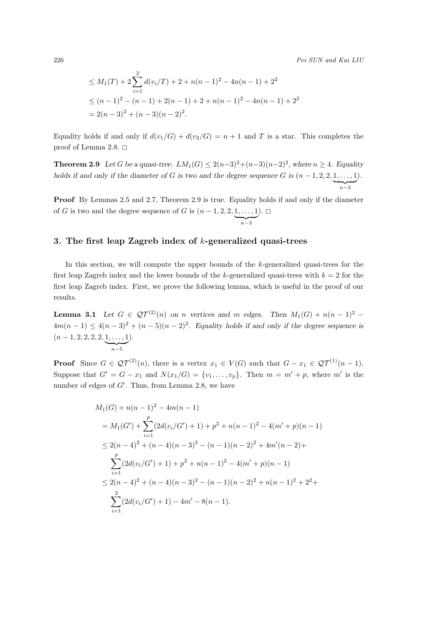$$
\leq M_1(T) + 2\sum_{i=1}^2 d(v_i/T) + 2 + n(n-1)^2 - 4n(n-1) + 2^2
$$
  
\n
$$
\leq (n-1)^2 - (n-1) + 2(n-1) + 2 + n(n-1)^2 - 4n(n-1) + 2^2
$$
  
\n
$$
= 2(n-3)^2 + (n-3)(n-2)^2.
$$

Equality holds if and only if  $d(v_1/G) + d(v_2/G) = n + 1$  and T is a star. This completes the proof of Lemma 2.8.  $\square$ 

**Theorem 2.9** *Let G be a quasi-tree.*  $LM_1(G) \leq 2(n-3)^2 + (n-3)(n-2)^2$ , where  $n \geq 4$ . Equality *, where n ≥* 4*. Equality holds if and only if the diameter of <i>G is two and the degree sequence G is*  $(n-1,2,2,1,\ldots,1)$ | {z } *n−*3 )*.*

**Proof** By Lemmas 2.5 and 2.7, Theorem 2.9 is true. Equality holds if and only if the diameter of *G* is two and the degree sequence of *G* is  $(n-1, 2, 2, 1, \ldots, 1)$ | {z } *n−*3  $\big)$ .  $\Box$ 

## **3. The first leap Zagreb index of** *k***-generalized quasi-trees**

In this section, we will compute the upper bounds of the *k*-generalized quasi-trees for the first leap Zagreb index and the lower bounds of the *k*-generalized quasi-trees with  $k = 2$  for the first leap Zagreb index. First, we prove the following lemma, which is useful in the proof of our results.

**Lemma 3.1** *Let*  $G \in \mathcal{QT}^{(2)}(n)$  *on n vertices and m edges.* Then  $M_1(G) + n(n-1)^2$  *−*  $4m(n-1) \leq 4(n-3)^2 + (n-5)(n-2)^2$ . Equality holds if and only if the degree sequence is (*n −* 1*,* 2*,* 2*,* 2*,* 2*,* 1*, . . . ,* 1 | {z } *n−*5 )*.*

**Proof** Since  $G \in \mathcal{QT}^{(2)}(n)$ , there is a vertex  $x_1 \in V(G)$  such that  $G - x_1 \in \mathcal{QT}^{(1)}(n-1)$ . Suppose that  $G' = G - x_1$  and  $N(x_1/G) = \{v_1, \ldots, v_p\}$ . Then  $m = m' + p$ , where m' is the number of edges of  $G'$ . Thus, from Lemma 2.8, we have

$$
M_1(G) + n(n-1)^2 - 4m(n-1)
$$
  
=  $M_1(G') + \sum_{i=1}^p (2d(v_i/G') + 1) + p^2 + n(n-1)^2 - 4(m' + p)(n-1)$   
 $\leq 2(n-4)^2 + (n-4)(n-3)^2 - (n-1)(n-2)^2 + 4m'(n-2) +$   
 $\sum_{i=1}^p (2d(v_i/G') + 1) + p^2 + n(n-1)^2 - 4(m' + p)(n-1)$   
 $\leq 2(n-4)^2 + (n-4)(n-3)^2 - (n-1)(n-2)^2 + n(n-1)^2 + 2^2 +$   
 $\sum_{i=1}^p (2d(v_i/G') + 1) - 4m' - 8(n-1).$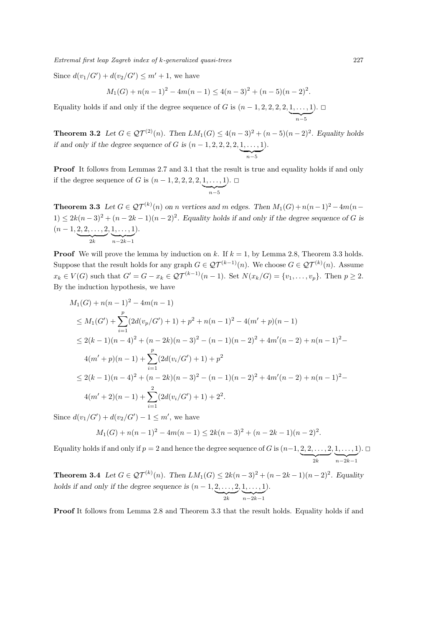*Extremal first leap Zagreb index of k-generalized quasi-trees* 227

Since  $d(v_1/G') + d(v_2/G') \le m' + 1$ , we have

$$
M_1(G) + n(n-1)^2 - 4m(n-1) \le 4(n-3)^2 + (n-5)(n-2)^2.
$$

Equality holds if and only if the degree sequence of *G* is  $(n-1, 2, 2, 2, 2, 1, \ldots, 1)$ | {z } *n−*5 ).  $\Box$ 

**Theorem 3.2** *Let G* ∈  $QT^{(2)}(n)$ *.* Then  $LM_1(G) ≤ 4(n-3)^2 + (n-5)(n-2)^2$ *. Equality holds if and only if the degree sequence of <i>G is*  $(n-1, 2, 2, 2, 2, 1, \ldots, 1)$ | {z } *n−*5 )*.*

**Proof** It follows from Lemmas 2.7 and 3.1 that the result is true and equality holds if and only if the degree sequence of *G* is  $(n-1, 2, 2, 2, 2, 1, \ldots, 1)$ | {z } *n−*5  $\big)$ .  $\Box$ 

**Theorem 3.3** Let  $G \in \mathcal{QT}^{(k)}(n)$  on *n* vertices and *m* edges. Then  $M_1(G) + n(n-1)^2 - 4m(n-1)$ 1)  $\leq$  2*k*( $n-3$ )<sup>2</sup> + ( $n-2k-1$ )( $n-2$ )<sup>2</sup>. Equality holds if and only if the degree sequence of *G* is (*n −* 1*,* 2*,* 2*, . . . ,* 2  $\overbrace{2k}$ *,* 1*, . . . ,* 1 | {z } *n−*2*k−*1 )*.*

**Proof** We will prove the lemma by induction on *k*. If  $k = 1$ , by Lemma 2.8, Theorem 3.3 holds. Suppose that the result holds for any graph  $G \in \mathcal{QT}^{(k-1)}(n)$ . We choose  $G \in \mathcal{QT}^{(k)}(n)$ . Assume  $x_k \in V(G)$  such that  $G' = G - x_k \in \mathcal{QT}^{(k-1)}(n-1)$ . Set  $N(x_k/G) = \{v_1, \ldots, v_p\}$ . Then  $p \geq 2$ . By the induction hypothesis, we have

$$
M_1(G) + n(n-1)^2 - 4m(n-1)
$$
  
\n
$$
\leq M_1(G') + \sum_{i=1}^p (2d(v_p/G') + 1) + p^2 + n(n-1)^2 - 4(m' + p)(n-1)
$$
  
\n
$$
\leq 2(k-1)(n-4)^2 + (n-2k)(n-3)^2 - (n-1)(n-2)^2 + 4m'(n-2) + n(n-1)^2 -
$$
  
\n
$$
4(m' + p)(n-1) + \sum_{i=1}^p (2d(v_i/G') + 1) + p^2
$$
  
\n
$$
\leq 2(k-1)(n-4)^2 + (n-2k)(n-3)^2 - (n-1)(n-2)^2 + 4m'(n-2) + n(n-1)^2 -
$$
  
\n
$$
4(m' + 2)(n-1) + \sum_{i=1}^2 (2d(v_i/G') + 1) + 2^2.
$$

Since  $d(v_1/G') + d(v_2/G') - 1 \le m'$ , we have

$$
M_1(G) + n(n-1)^2 - 4m(n-1) \le 2k(n-3)^2 + (n-2k-1)(n-2)^2
$$
.

Equality holds if and only if  $p = 2$  and hence the degree sequence of *G* is  $(n-1, 2, 2, \ldots, 2)$  $\overbrace{2k}$ *,* 1*, . . . ,* 1 | {z } *n−*2*k−*1  $)$ .  $\square$ 

**Theorem 3.4** Let  $G \in \mathcal{QT}^{(k)}(n)$ . Then  $LM_1(G) \leq 2k(n-3)^2 + (n-2k-1)(n-2)^2$ . Equality *holds if and only if the degree sequence is*  $(n-1, 2, \ldots, 2)$  $\sum_{2k}$ *,* 1*, . . . ,* 1 | {z } *n−*2*k−*1 )*.*

**Proof** It follows from Lemma 2.8 and Theorem 3.3 that the result holds. Equality holds if and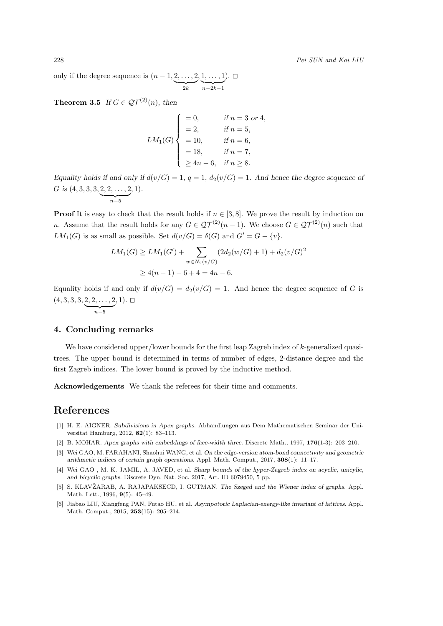228 *Pei SUN and Kai LIU*

only if the degree sequence is  $(n-1, 2, \ldots, 2)$  $\sum_{2k}$ *,* 1*, . . . ,* 1 | {z } *n−*2*k−*1 ).  $\Box$ 

**Theorem 3.5** *If*  $G \in \mathcal{QT}^{(2)}(n)$ *, then* 

$$
LM_{1}(G) \begin{cases}\n= 0, & \text{if } n = 3 \text{ or } 4, \\
= 2, & \text{if } n = 5, \\
= 10, & \text{if } n = 6, \\
= 18, & \text{if } n = 7, \\
\ge 4n - 6, & \text{if } n \ge 8.\n\end{cases}
$$

*Equality holds if and only if*  $d(v/G) = 1$ ,  $q = 1$ ,  $d_2(v/G) = 1$ . And hence the degree sequence of *G is* (4*,* 3*,* 3*,* 3*,* 2*,* 2*, . . . ,* 2 | {z } *n−*5 *,* 1)*.*

**Proof** It is easy to check that the result holds if  $n \in [3, 8]$ . We prove the result by induction on *n*. Assume that the result holds for any  $G \in \mathcal{QT}^{(2)}(n-1)$ . We choose  $G \in \mathcal{QT}^{(2)}(n)$  such that *LM*<sub>1</sub>(*G*) is as small as possible. Set  $d(v/G) = \delta(G)$  and  $G' = G - \{v\}$ .

$$
LM_1(G) \ge LM_1(G') + \sum_{w \in N_2(v/G)} (2d_2(w/G) + 1) + d_2(v/G)^2
$$
  
 
$$
\ge 4(n - 1) - 6 + 4 = 4n - 6.
$$

Equality holds if and only if  $d(v/G) = d_2(v/G) = 1$ . And hence the degree sequence of *G* is (4*,* 3*,* 3*,* 3*,* 2*,* 2*, . . . ,* 2 | {z } *n−*5 *,* 1). <sup>2</sup>

## **4. Concluding remarks**

We have considered upper/lower bounds for the first leap Zagreb index of *k*-generalized quasitrees. The upper bound is determined in terms of number of edges, 2-distance degree and the first Zagreb indices. The lower bound is proved by the inductive method.

**Acknowledgements** We thank the referees for their time and comments.

## **References**

- [1] H. E. AIGNER. *Subdivisions in Apex graphs*. Abhandlungen aus Dem Mathematischen Seminar der Universitat Hamburg, 2012, **82**(1): 83–113.
- [2] B. MOHAR. *Apex graphs with embeddings of face-width three*. Discrete Math., 1997, **176**(1-3): 203–210.
- [3] Wei GAO, M. FARAHANI, Shaohui WANG, et al. *On the edge-version atom-bond connectivity and geometric arithmetic indices of certain graph operations*. Appl. Math. Comput., 2017, **308**(1): 11–17.
- [4] Wei GAO , M. K. JAMIL, A. JAVED, et al. *Sharp bounds of the hyper-Zagreb index on acyclic, unicylic, and bicyclic graphs*. Discrete Dyn. Nat. Soc. 2017, Art. ID 6079450, 5 pp.
- [5] S. KLAVZARAB, A. RAJAPAKSECD, I. GUTMAN. ˇ *The Szeged and the Wiener index of graphs*. Appl. Math. Lett., 1996, **9**(5): 45–49.
- [6] Jiabao LIU, Xiangfeng PAN, Futao HU, et al. *Asympototic Laplacian-energy-like invariant of lattices*. Appl. Math. Comput., 2015, **253**(15): 205–214.